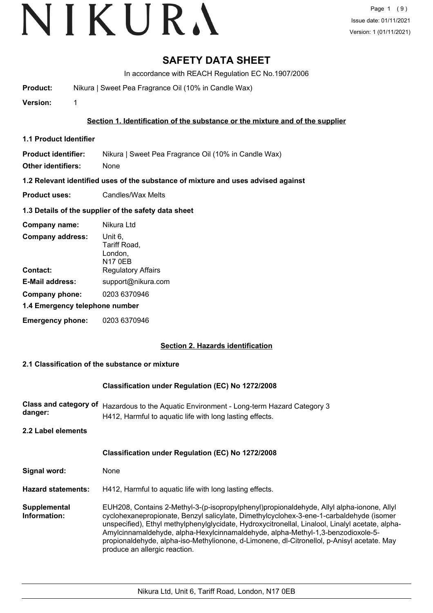# VIKURA

## **SAFETY DATA SHEET**

In accordance with REACH Regulation EC No.1907/2006

**Product:** Nikura | Sweet Pea Fragrance Oil (10% in Candle Wax)

**Version:** 1

### **Section 1. Identification of the substance or the mixture and of the supplier**

**1.1 Product Identifier**

**Product identifier:** Nikura | Sweet Pea Fragrance Oil (10% in Candle Wax)

**Other identifiers:** None

**1.2 Relevant identified uses of the substance of mixture and uses advised against**

**Product uses:** Candles/Wax Melts

### **1.3 Details of the supplier of the safety data sheet**

| Company name:                  | Nikura Ltd                                           |
|--------------------------------|------------------------------------------------------|
| <b>Company address:</b>        | Unit 6,<br>Tariff Road,<br>London,<br><b>N17 0EB</b> |
| Contact:                       | <b>Regulatory Affairs</b>                            |
| <b>E-Mail address:</b>         | support@nikura.com                                   |
| Company phone:                 | 0203 6370946                                         |
| 1.4 Emergency telephone number |                                                      |
| <b>Emergency phone:</b>        | 0203 6370946                                         |

### **Section 2. Hazards identification**

### **2.1 Classification of the substance or mixture**

### **Classification under Regulation (EC) No 1272/2008**

Class and category of Hazardous to the Aquatic Environment - Long-term Hazard Category 3 **danger:** H412, Harmful to aquatic life with long lasting effects.

**2.2 Label elements**

## **Signal word:** None **Classification under Regulation (EC) No 1272/2008 Hazard statements:** H412, Harmful to aquatic life with long lasting effects. EUH208, Contains 2-Methyl-3-(p-isopropylphenyl)propionaldehyde, Allyl alpha-ionone, Allyl cyclohexanepropionate, Benzyl salicylate, Dimethylcyclohex-3-ene-1-carbaldehyde (isomer unspecified), Ethyl methylphenylglycidate, Hydroxycitronellal, Linalool, Linalyl acetate, alpha-Amylcinnamaldehyde, alpha-Hexylcinnamaldehyde, alpha-Methyl-1,3-benzodioxole-5 propionaldehyde, alpha-iso-Methylionone, d-Limonene, dl-Citronellol, p-Anisyl acetate. May produce an allergic reaction. **Supplemental Information:**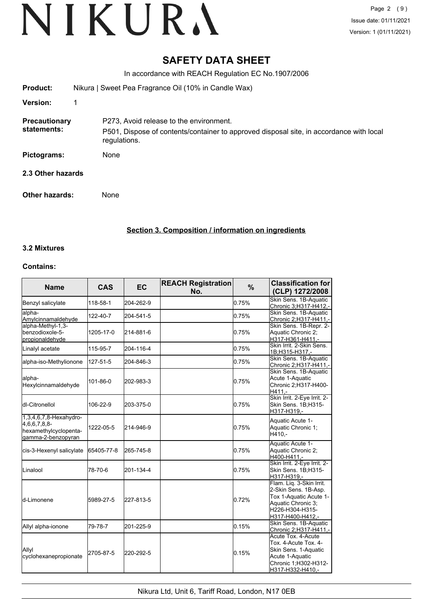## **SAFETY DATA SHEET**

In accordance with REACH Regulation EC No.1907/2006

| <b>Product:</b>       | Nikura   Sweet Pea Fragrance Oil (10% in Candle Wax)                                                    |  |  |
|-----------------------|---------------------------------------------------------------------------------------------------------|--|--|
| <b>Version:</b>       |                                                                                                         |  |  |
| <b>Precautionary</b>  | P273, Avoid release to the environment.                                                                 |  |  |
| statements:           | P501, Dispose of contents/container to approved disposal site, in accordance with local<br>regulations. |  |  |
| Pictograms:           | None                                                                                                    |  |  |
| 2.3 Other hazards     |                                                                                                         |  |  |
| <b>Other hazards:</b> | None                                                                                                    |  |  |

**Section 3. Composition / information on ingredients**

### **3.2 Mixtures**

#### **Contains:**

| <b>Name</b>                                                                            | <b>CAS</b> | <b>EC</b> | <b>REACH Registration</b><br>No. | %     | <b>Classification for</b><br>(CLP) 1272/2008                                                                                            |
|----------------------------------------------------------------------------------------|------------|-----------|----------------------------------|-------|-----------------------------------------------------------------------------------------------------------------------------------------|
| Benzyl salicylate                                                                      | 118-58-1   | 204-262-9 |                                  | 0.75% | Skin Sens. 1B-Aquatic<br>Chronic 3;H317-H412,-                                                                                          |
| alpha-<br>Amylcinnamaldehyde                                                           | 122-40-7   | 204-541-5 |                                  | 0.75% | Skin Sens. 1B-Aquatic<br><u>Chronic 2;H317-H411,-</u>                                                                                   |
| alpha-Methyl-1,3-<br>benzodioxole-5-<br>propionaldehyde                                | 1205-17-0  | 214-881-6 |                                  | 0.75% | Skin Sens. 1B-Repr. 2-<br>Aquatic Chronic 2:<br>H317-H361-H411,-                                                                        |
| Linalyl acetate                                                                        | 115-95-7   | 204-116-4 |                                  | 0.75% | Skin Irrit. 2-Skin Sens.<br>1B;H315-H317,-                                                                                              |
| alpha-iso-Methylionone                                                                 | 127-51-5   | 204-846-3 |                                  | 0.75% | Skin Sens. 1B-Aquatic<br>Chronic 2;H317-H411,-                                                                                          |
| alpha-<br>Hexylcinnamaldehyde                                                          | 101-86-0   | 202-983-3 |                                  | 0.75% | Skin Sens. 1B-Aquatic<br>Acute 1-Aquatic<br>Chronic 2:H317-H400-<br>H411.-                                                              |
| ldl-Citronellol                                                                        | 106-22-9   | 203-375-0 |                                  | 0.75% | Skin Irrit. 2-Eye Irrit. 2-<br>Skin Sens. 1B;H315-<br>H317-H319.-                                                                       |
| 1,3,4,6,7,8-Hexahydro-<br>4,6,6,7,8,8-<br>hexamethylcyclopenta-<br>lgamma-2-benzopyran | 1222-05-5  | 214-946-9 |                                  | 0.75% | Aquatic Acute 1-<br>Aquatic Chronic 1:<br>$H410. -$                                                                                     |
| cis-3-Hexenyl salicylate                                                               | 65405-77-8 | 265-745-8 |                                  | 0.75% | Aquatic Acute 1-<br>Aquatic Chronic 2;<br>H400-H411,-                                                                                   |
| <b>L</b> inalool                                                                       | 78-70-6    | 201-134-4 |                                  | 0.75% | Skin Irrit. 2-Eye Irrit. 2-<br>Skin Sens. 1B;H315-<br>H317-H319,-                                                                       |
| ld-Limonene                                                                            | 5989-27-5  | 227-813-5 |                                  | 0.72% | Flam. Liq. 3-Skin Irrit.<br>2-Skin Sens. 1B-Asp.<br>Tox 1-Aquatic Acute 1-<br>Aquatic Chronic 3;<br>H226-H304-H315-<br>H317-H400-H412,- |
| Allyl alpha-ionone                                                                     | 79-78-7    | 201-225-9 |                                  | 0.15% | Skin Sens. 1B-Aquatic<br>Chronic 2;H317-H411,-                                                                                          |
| Allyl<br>cyclohexanepropionate                                                         | 2705-87-5  | 220-292-5 |                                  | 0.15% | Acute Tox, 4-Acute<br>Tox. 4-Acute Tox. 4-<br>Skin Sens. 1-Aquatic<br>Acute 1-Aquatic<br>Chronic 1;H302-H312-<br>H317-H332-H410,-       |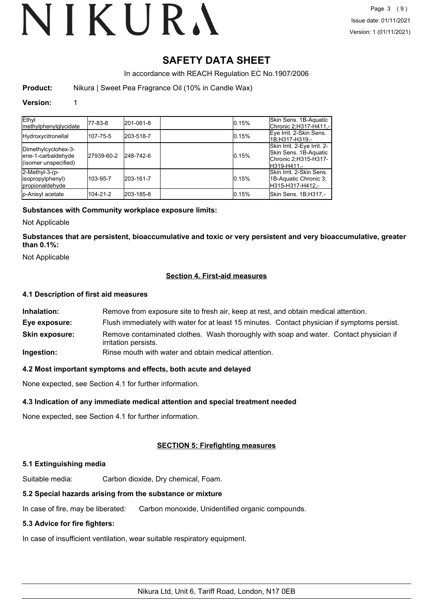# **SAFETY DATA SHEET**

In accordance with REACH Regulation EC No.1907/2006

**Product:** Nikura | Sweet Pea Fragrance Oil (10% in Candle Wax)

### **Version:** 1

| Ethyl<br><b>Imethylphenylglycidate</b>                            | 177-83-8   | 201-061-8 | 0.15% | Skin Sens. 1B-Aquatic<br>Chronic 2:H317-H411.-                                               |
|-------------------------------------------------------------------|------------|-----------|-------|----------------------------------------------------------------------------------------------|
| Hydroxycitronellal                                                | 107-75-5   | 203-518-7 | 0.15% | Eye Irrit. 2-Skin Sens.<br>1B:H317-H319.-                                                    |
| Dimethylcyclohex-3-<br>ene-1-carbaldehyde<br>(isomer unspecified) | 27939-60-2 | 248-742-6 | 0.15% | Skin Irrit. 2-Eye Irrit. 2-<br>lSkin Sens. 1B-Aquatic<br>Chronic 2;H315-H317-<br>H319-H411 - |
| 2-Methyl-3-(p-<br>(isopropylphenyl<br>propionaldehyde             | 103-95-7   | 203-161-7 | 0.15% | lSkin Irrit. 2-Skin Sens.<br>1B-Aquatic Chronic 3;<br>H315-H317-H412.-                       |
| p-Anisyl acetate                                                  | 104-21-2   | 203-185-8 | 0.15% | Skin Sens. 1B;H317,-                                                                         |

### **Substances with Community workplace exposure limits:**

Not Applicable

**Substances that are persistent, bioaccumulative and toxic or very persistent and very bioaccumulative, greater than 0.1%:**

Not Applicable

### **Section 4. First-aid measures**

### **4.1 Description of first aid measures**

| Inhalation:           | Remove from exposure site to fresh air, keep at rest, and obtain medical attention.                            |  |
|-----------------------|----------------------------------------------------------------------------------------------------------------|--|
| Eye exposure:         | Flush immediately with water for at least 15 minutes. Contact physician if symptoms persist.                   |  |
| <b>Skin exposure:</b> | Remove contaminated clothes. Wash thoroughly with soap and water. Contact physician if<br>irritation persists. |  |
| Ingestion:            | Rinse mouth with water and obtain medical attention.                                                           |  |

### **4.2 Most important symptoms and effects, both acute and delayed**

None expected, see Section 4.1 for further information.

### **4.3 Indication of any immediate medical attention and special treatment needed**

None expected, see Section 4.1 for further information.

## **SECTION 5: Firefighting measures**

### **5.1 Extinguishing media**

Suitable media: Carbon dioxide, Dry chemical, Foam.

### **5.2 Special hazards arising from the substance or mixture**

In case of fire, may be liberated: Carbon monoxide, Unidentified organic compounds.

### **5.3 Advice for fire fighters:**

In case of insufficient ventilation, wear suitable respiratory equipment.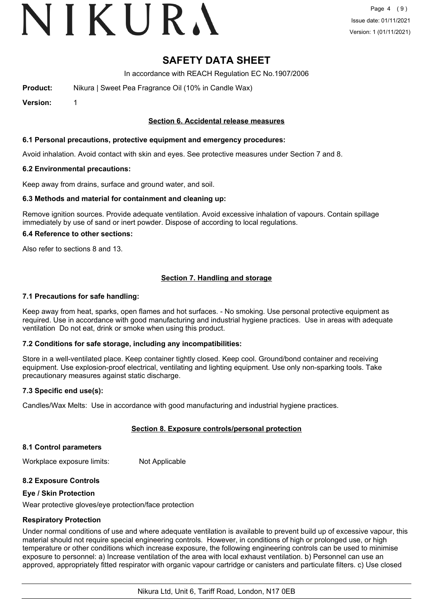# VIKURA

## **SAFETY DATA SHEET**

In accordance with REACH Regulation EC No.1907/2006

**Product:** Nikura | Sweet Pea Fragrance Oil (10% in Candle Wax)

**Version:** 1

### **Section 6. Accidental release measures**

### **6.1 Personal precautions, protective equipment and emergency procedures:**

Avoid inhalation. Avoid contact with skin and eyes. See protective measures under Section 7 and 8.

### **6.2 Environmental precautions:**

Keep away from drains, surface and ground water, and soil.

### **6.3 Methods and material for containment and cleaning up:**

Remove ignition sources. Provide adequate ventilation. Avoid excessive inhalation of vapours. Contain spillage immediately by use of sand or inert powder. Dispose of according to local regulations.

### **6.4 Reference to other sections:**

Also refer to sections 8 and 13.

### **Section 7. Handling and storage**

### **7.1 Precautions for safe handling:**

Keep away from heat, sparks, open flames and hot surfaces. - No smoking. Use personal protective equipment as required. Use in accordance with good manufacturing and industrial hygiene practices. Use in areas with adequate ventilation Do not eat, drink or smoke when using this product.

### **7.2 Conditions for safe storage, including any incompatibilities:**

Store in a well-ventilated place. Keep container tightly closed. Keep cool. Ground/bond container and receiving equipment. Use explosion-proof electrical, ventilating and lighting equipment. Use only non-sparking tools. Take precautionary measures against static discharge.

### **7.3 Specific end use(s):**

Candles/Wax Melts: Use in accordance with good manufacturing and industrial hygiene practices.

### **Section 8. Exposure controls/personal protection**

#### **8.1 Control parameters**

Workplace exposure limits: Not Applicable

### **8.2 Exposure Controls**

#### **Eye / Skin Protection**

Wear protective gloves/eye protection/face protection

### **Respiratory Protection**

Under normal conditions of use and where adequate ventilation is available to prevent build up of excessive vapour, this material should not require special engineering controls. However, in conditions of high or prolonged use, or high temperature or other conditions which increase exposure, the following engineering controls can be used to minimise exposure to personnel: a) Increase ventilation of the area with local exhaust ventilation. b) Personnel can use an approved, appropriately fitted respirator with organic vapour cartridge or canisters and particulate filters. c) Use closed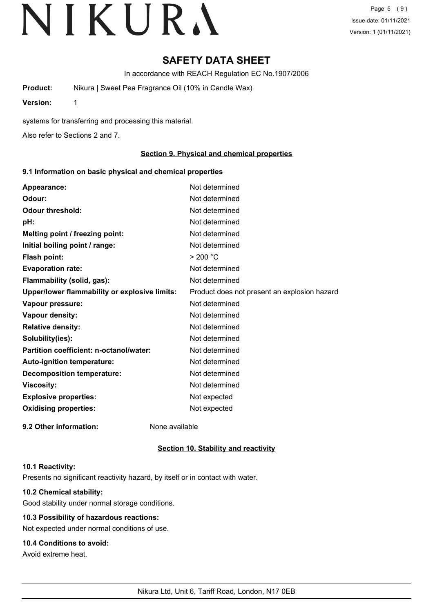# **SAFETY DATA SHEET**

In accordance with REACH Regulation EC No.1907/2006

**Product:** Nikura | Sweet Pea Fragrance Oil (10% in Candle Wax)

**Version:** 1

systems for transferring and processing this material.

Also refer to Sections 2 and 7.

### **Section 9. Physical and chemical properties**

### **9.1 Information on basic physical and chemical properties**

| Appearance:                                   | Not determined                               |
|-----------------------------------------------|----------------------------------------------|
| Odour:                                        | Not determined                               |
| <b>Odour threshold:</b>                       | Not determined                               |
| pH:                                           | Not determined                               |
| Melting point / freezing point:               | Not determined                               |
| Initial boiling point / range:                | Not determined                               |
| <b>Flash point:</b>                           | $>$ 200 °C                                   |
| <b>Evaporation rate:</b>                      | Not determined                               |
| Flammability (solid, gas):                    | Not determined                               |
| Upper/lower flammability or explosive limits: | Product does not present an explosion hazard |
| Vapour pressure:                              | Not determined                               |
| Vapour density:                               | Not determined                               |
| <b>Relative density:</b>                      | Not determined                               |
| Solubility(ies):                              | Not determined                               |
| Partition coefficient: n-octanol/water:       | Not determined                               |
| Auto-ignition temperature:                    | Not determined                               |
| <b>Decomposition temperature:</b>             | Not determined                               |
| <b>Viscosity:</b>                             | Not determined                               |
| <b>Explosive properties:</b>                  | Not expected                                 |
| <b>Oxidising properties:</b>                  | Not expected                                 |
| 9.2 Other information:                        | None available                               |

### **Section 10. Stability and reactivity**

#### **10.1 Reactivity:**

Presents no significant reactivity hazard, by itself or in contact with water.

## **10.2 Chemical stability:**

Good stability under normal storage conditions.

## **10.3 Possibility of hazardous reactions:**

Not expected under normal conditions of use.

## **10.4 Conditions to avoid:**

Avoid extreme heat.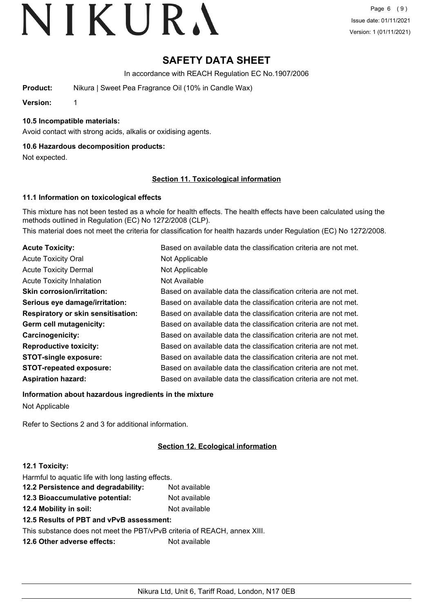# **SAFETY DATA SHEET**

In accordance with REACH Regulation EC No.1907/2006

**Product:** Nikura | Sweet Pea Fragrance Oil (10% in Candle Wax)

**Version:** 1

### **10.5 Incompatible materials:**

Avoid contact with strong acids, alkalis or oxidising agents.

### **10.6 Hazardous decomposition products:**

Not expected.

### **Section 11. Toxicological information**

### **11.1 Information on toxicological effects**

This mixture has not been tested as a whole for health effects. The health effects have been calculated using the methods outlined in Regulation (EC) No 1272/2008 (CLP).

This material does not meet the criteria for classification for health hazards under Regulation (EC) No 1272/2008.

| <b>Acute Toxicity:</b>                    | Based on available data the classification criteria are not met. |
|-------------------------------------------|------------------------------------------------------------------|
| <b>Acute Toxicity Oral</b>                | Not Applicable                                                   |
| <b>Acute Toxicity Dermal</b>              | Not Applicable                                                   |
| <b>Acute Toxicity Inhalation</b>          | Not Available                                                    |
| <b>Skin corrosion/irritation:</b>         | Based on available data the classification criteria are not met. |
| Serious eye damage/irritation:            | Based on available data the classification criteria are not met. |
| <b>Respiratory or skin sensitisation:</b> | Based on available data the classification criteria are not met. |
| Germ cell mutagenicity:                   | Based on available data the classification criteria are not met. |
| Carcinogenicity:                          | Based on available data the classification criteria are not met. |
| <b>Reproductive toxicity:</b>             | Based on available data the classification criteria are not met. |
| <b>STOT-single exposure:</b>              | Based on available data the classification criteria are not met. |
| <b>STOT-repeated exposure:</b>            | Based on available data the classification criteria are not met. |
| <b>Aspiration hazard:</b>                 | Based on available data the classification criteria are not met. |

**Information about hazardous ingredients in the mixture**

Not Applicable

Refer to Sections 2 and 3 for additional information.

## **Section 12. Ecological information**

### **12.1 Toxicity:**

| Harmful to aquatic life with long lasting effects.                       |               |
|--------------------------------------------------------------------------|---------------|
| 12.2 Persistence and degradability:<br>Not available                     |               |
| 12.3 Bioaccumulative potential:                                          | Not available |
| 12.4 Mobility in soil:<br>Not available                                  |               |
| 12.5 Results of PBT and vPvB assessment:                                 |               |
| This substance does not meet the PBT/vPvB criteria of REACH, annex XIII. |               |
| 12.6 Other adverse effects:<br>Not available                             |               |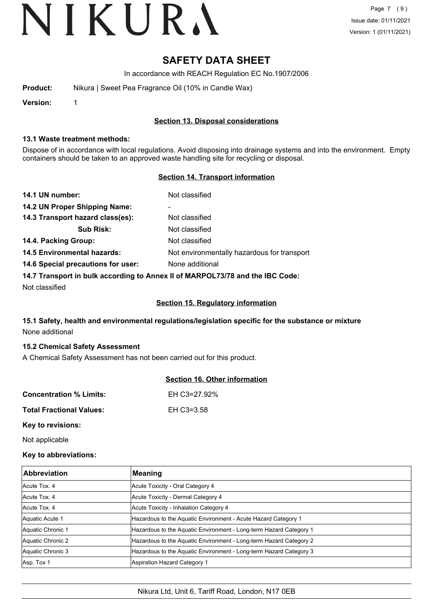## **SAFETY DATA SHEET**

In accordance with REACH Regulation EC No.1907/2006

| Product: | Nikura   Sweet Pea Fragrance Oil (10% in Candle Wax) |
|----------|------------------------------------------------------|
|          |                                                      |

**Version:** 1

### **Section 13. Disposal considerations**

### **13.1 Waste treatment methods:**

Dispose of in accordance with local regulations. Avoid disposing into drainage systems and into the environment. Empty containers should be taken to an approved waste handling site for recycling or disposal.

### **Section 14. Transport information**

| 14.1 UN number:                                                               | Not classified                              |  |
|-------------------------------------------------------------------------------|---------------------------------------------|--|
| 14.2 UN Proper Shipping Name:                                                 | $\overline{\phantom{a}}$                    |  |
| 14.3 Transport hazard class(es):                                              | Not classified                              |  |
| <b>Sub Risk:</b>                                                              | Not classified                              |  |
| 14.4. Packing Group:                                                          | Not classified                              |  |
| <b>14.5 Environmental hazards:</b>                                            | Not environmentally hazardous for transport |  |
| 14.6 Special precautions for user:                                            | None additional                             |  |
| 14.7 Transport in bulk according to Annex II of MARPOL73/78 and the IBC Code: |                                             |  |

Not classified

### **Section 15. Regulatory information**

## **15.1 Safety, health and environmental regulations/legislation specific for the substance or mixture** None additional

### **15.2 Chemical Safety Assessment**

A Chemical Safety Assessment has not been carried out for this product.

### **Section 16. Other information**

| <b>Concentration % Limits:</b>  | EH C3=27.92% |
|---------------------------------|--------------|
| <b>Total Fractional Values:</b> | EH C3=3.58   |

**Key to revisions:**

Not applicable

### **Key to abbreviations:**

| <b>Abbreviation</b> | Meaning                                                            |
|---------------------|--------------------------------------------------------------------|
| Acute Tox, 4        | Acute Toxicity - Oral Category 4                                   |
| Acute Tox, 4        | Acute Toxicity - Dermal Category 4                                 |
| Acute Tox, 4        | Acute Toxicity - Inhalation Category 4                             |
| Aquatic Acute 1     | Hazardous to the Aquatic Environment - Acute Hazard Category 1     |
| Aquatic Chronic 1   | Hazardous to the Aquatic Environment - Long-term Hazard Category 1 |
| Aquatic Chronic 2   | Hazardous to the Aquatic Environment - Long-term Hazard Category 2 |
| Aquatic Chronic 3   | Hazardous to the Aquatic Environment - Long-term Hazard Category 3 |
| Asp. Tox 1          | Aspiration Hazard Category 1                                       |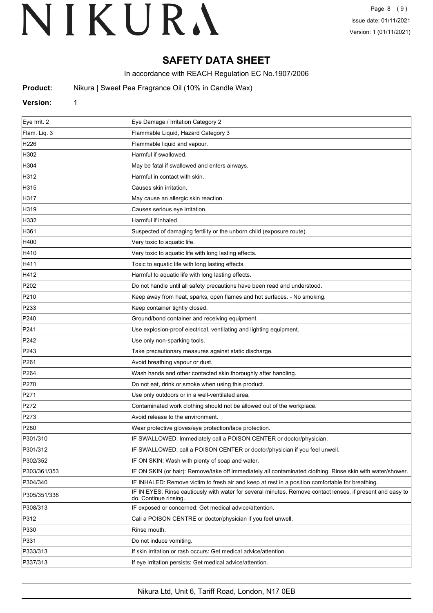## **SAFETY DATA SHEET**

In accordance with REACH Regulation EC No.1907/2006

**Product:** Nikura | Sweet Pea Fragrance Oil (10% in Candle Wax)

#### **Version:** 1

| Eye Irrit. 2     | Eye Damage / Irritation Category 2                                                                                                  |
|------------------|-------------------------------------------------------------------------------------------------------------------------------------|
| Flam. Liq. 3     | Flammable Liquid, Hazard Category 3                                                                                                 |
| H226             | Flammable liquid and vapour.                                                                                                        |
| H302             | Harmful if swallowed.                                                                                                               |
| H304             | May be fatal if swallowed and enters airways.                                                                                       |
| H312             | Harmful in contact with skin.                                                                                                       |
| H315             | Causes skin irritation.                                                                                                             |
| H317             | May cause an allergic skin reaction.                                                                                                |
| H319             | Causes serious eye irritation.                                                                                                      |
| H332             | Harmful if inhaled.                                                                                                                 |
| H361             | Suspected of damaging fertility or the unborn child (exposure route).                                                               |
| H400             | Very toxic to aquatic life.                                                                                                         |
| H410             | Very toxic to aquatic life with long lasting effects.                                                                               |
| H411             | Toxic to aquatic life with long lasting effects.                                                                                    |
| H412             | Harmful to aquatic life with long lasting effects.                                                                                  |
| P202             | Do not handle until all safety precautions have been read and understood.                                                           |
| P210             | Keep away from heat, sparks, open flames and hot surfaces. - No smoking.                                                            |
| P233             | Keep container tightly closed.                                                                                                      |
| P240             | Ground/bond container and receiving equipment.                                                                                      |
| P241             | Use explosion-proof electrical, ventilating and lighting equipment.                                                                 |
| P242             | Use only non-sparking tools.                                                                                                        |
| P243             | Take precautionary measures against static discharge.                                                                               |
| P261             | Avoid breathing vapour or dust.                                                                                                     |
| P <sub>264</sub> | Wash hands and other contacted skin thoroughly after handling.                                                                      |
| P270             | Do not eat, drink or smoke when using this product.                                                                                 |
| P271             | Use only outdoors or in a well-ventilated area.                                                                                     |
| P272             | Contaminated work clothing should not be allowed out of the workplace.                                                              |
| P273             | Avoid release to the environment.                                                                                                   |
| P280             | Wear protective gloves/eye protection/face protection.                                                                              |
| P301/310         | IF SWALLOWED: Immediately call a POISON CENTER or doctor/physician.                                                                 |
| P301/312         | IF SWALLOWED: call a POISON CENTER or doctor/physician if you feel unwell.                                                          |
| P302/352         | IF ON SKIN: Wash with plenty of soap and water.                                                                                     |
| P303/361/353     | IF ON SKIN (or hair): Remove/take off immediately all contaminated clothing. Rinse skin with water/shower.                          |
| P304/340         | IF INHALED: Remove victim to fresh air and keep at rest in a position comfortable for breathing.                                    |
| P305/351/338     | IF IN EYES: Rinse cautiously with water for several minutes. Remove contact lenses, if present and easy to<br>do. Continue rinsing. |
| P308/313         | IF exposed or concerned: Get medical advice/attention.                                                                              |
| P312             | Call a POISON CENTRE or doctor/physician if you feel unwell.                                                                        |
| P330             | Rinse mouth.                                                                                                                        |
| P331             | Do not induce vomiting.                                                                                                             |
| P333/313         | If skin irritation or rash occurs: Get medical advice/attention.                                                                    |
| P337/313         | If eye irritation persists: Get medical advice/attention.                                                                           |